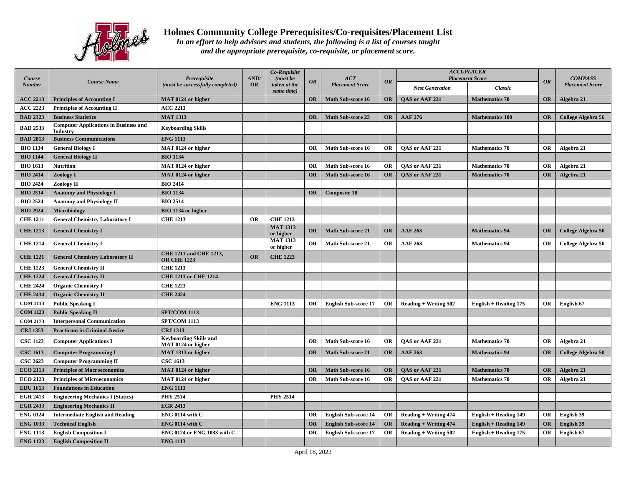

## **Holmes Community College Prerequisites/Co-requisites/Placement List**

*In an effort to help advisors and students, the following is a list of courses taught and the appropriate prerequisite, co-requisite, or placement score.*

| Course          | <b>Course Name</b>                                       | Prerequisite<br>(must be successfully completed)    | AND/<br><b>OR</b> | Co-Requisite<br>(must be<br>taken at the<br>same time) | <b>OR</b> | ACT<br><b>Placement Score</b> | <b>OR</b> | <b>ACCUPLACER</b><br><b>Placement Score</b> |                              |           | <b>COMPASS</b>         |
|-----------------|----------------------------------------------------------|-----------------------------------------------------|-------------------|--------------------------------------------------------|-----------|-------------------------------|-----------|---------------------------------------------|------------------------------|-----------|------------------------|
| <b>Number</b>   |                                                          |                                                     |                   |                                                        |           |                               |           | <b>Nest Generation</b>                      | Classic                      | <b>OR</b> | <b>Placement Score</b> |
| <b>ACC 2213</b> | <b>Principles of Accounting I</b>                        | MAT 0124 or higher                                  |                   |                                                        | <b>OR</b> | <b>Math Sub-score 16</b>      | OR        | <b>OAS</b> or AAF 231                       | <b>Mathematics 70</b>        | <b>OR</b> | Algebra 21             |
| <b>ACC 2223</b> | <b>Principles of Accounting II</b>                       | <b>ACC 2213</b>                                     |                   |                                                        |           |                               |           |                                             |                              |           |                        |
| <b>BAD 2323</b> | <b>Business Statistics</b>                               | <b>MAT 1313</b>                                     |                   |                                                        | <b>OR</b> | <b>Math Sub-score 23</b>      | <b>OR</b> | <b>AAF 276</b>                              | <b>Mathematics 100</b>       | OR        | College Algebra 56     |
| <b>BAD 2533</b> | <b>Computer Applications in Business and</b><br>Industry | <b>Keyboarding Skills</b>                           |                   |                                                        |           |                               |           |                                             |                              |           |                        |
| <b>BAD 2813</b> | <b>Business Communications</b>                           | <b>ENG 1113</b>                                     |                   |                                                        |           |                               |           |                                             |                              |           |                        |
| <b>BIO 1134</b> | <b>General Biology I</b>                                 | MAT 0124 or higher                                  |                   |                                                        | <b>OR</b> | <b>Math Sub-score 16</b>      | OR        | OAS or AAF 231                              | <b>Mathematics 70</b>        | OR        | Algebra 21             |
| <b>BIO 1144</b> | <b>General Biology II</b>                                | <b>BIO 1134</b>                                     |                   |                                                        |           |                               |           |                                             |                              |           |                        |
| <b>BIO 1613</b> | <b>Nutrition</b>                                         | MAT 0124 or higher                                  |                   |                                                        | <b>OR</b> | Math Sub-score 16             | OR        | OAS or AAF 231                              | <b>Mathematics 70</b>        | OR        | Algebra 21             |
| <b>BIO 2414</b> | <b>Zoology I</b>                                         | MAT 0124 or higher                                  |                   |                                                        | <b>OR</b> | <b>Math Sub-score 16</b>      | OR        | <b>OAS</b> or AAF 231                       | <b>Mathematics 70</b>        | <b>OR</b> | Algebra 21             |
| <b>BIO 2424</b> | Zoology II                                               | <b>BIO 2414</b>                                     |                   |                                                        |           |                               |           |                                             |                              |           |                        |
| <b>BIO 2514</b> | <b>Anatomy and Physiology I</b>                          | <b>BIO 1134</b>                                     |                   |                                                        | <b>OR</b> | <b>Composite 18</b>           |           |                                             |                              |           |                        |
| <b>BIO 2524</b> | <b>Anatomy and Physiology II</b>                         | <b>BIO 2514</b>                                     |                   |                                                        |           |                               |           |                                             |                              |           |                        |
| <b>BIO 2924</b> | <b>Microbiology</b>                                      | BIO 1134 or higher                                  |                   |                                                        |           |                               |           |                                             |                              |           |                        |
| <b>CHE 1211</b> | <b>General Chemistry Laboratory I</b>                    | <b>CHE 1213</b>                                     | <b>OR</b>         | <b>CHE 1213</b>                                        |           |                               |           |                                             |                              |           |                        |
| <b>CHE 1213</b> | <b>General Chemistry I</b>                               |                                                     |                   | <b>MAT 1313</b><br>or higher                           | <b>OR</b> | <b>Math Sub-score 21</b>      | <b>OR</b> | <b>AAF 263</b>                              | <b>Mathematics 94</b>        | <b>OR</b> | College Algebra 50     |
| <b>CHE 1214</b> | <b>General Chemistry I</b>                               |                                                     |                   | <b>MAT 1313</b><br>or higher                           | <b>OR</b> | Math Sub-score 21             | <b>OR</b> | <b>AAF 263</b>                              | <b>Mathematics 94</b>        | OR        | College Algebra 50     |
| <b>CHE 1221</b> | <b>General Chemistry Laboratory II</b>                   | <b>CHE 1211 and CHE 1213,</b><br><b>OR CHE 1223</b> | <b>OR</b>         | <b>CHE 1223</b>                                        |           |                               |           |                                             |                              |           |                        |
| <b>CHE 1223</b> | <b>General Chemistry II</b>                              | <b>CHE 1213</b>                                     |                   |                                                        |           |                               |           |                                             |                              |           |                        |
| <b>CHE 1224</b> | <b>General Chemistry II</b>                              | <b>CHE 1213 or CHE 1214</b>                         |                   |                                                        |           |                               |           |                                             |                              |           |                        |
| <b>CHE 2424</b> | <b>Organic Chemistry I</b>                               | <b>CHE 1223</b>                                     |                   |                                                        |           |                               |           |                                             |                              |           |                        |
| <b>CHE 2434</b> | <b>Organic Chemistry II</b>                              | <b>CHE 2424</b>                                     |                   |                                                        |           |                               |           |                                             |                              |           |                        |
| <b>COM 1113</b> | <b>Public Speaking I</b>                                 |                                                     |                   | <b>ENG 1113</b>                                        | <b>OR</b> | <b>English Sub-score 17</b>   | OR        | <b>Reading + Writing 502</b>                | <b>English + Reading 175</b> | <b>OR</b> | English 67             |
| <b>COM 1123</b> | <b>Public Speaking II</b>                                | <b>SPT/COM 1113</b>                                 |                   |                                                        |           |                               |           |                                             |                              |           |                        |
| <b>COM 2173</b> | <b>Interpersonal Communication</b>                       | <b>SPT/COM 1113</b>                                 |                   |                                                        |           |                               |           |                                             |                              |           |                        |
| <b>CRJ 1353</b> | <b>Practicum in Criminal Justice</b>                     | <b>CRJ 1313</b>                                     |                   |                                                        |           |                               |           |                                             |                              |           |                        |
| <b>CSC 1123</b> | <b>Computer Applications I</b>                           | <b>Keyboarding Skills and</b><br>MAT 0124 or higher |                   |                                                        | <b>OR</b> | <b>Math Sub-score 16</b>      | OR        | OAS or AAF 231                              | <b>Mathematics 70</b>        | OR        | Algebra 21             |
| <b>CSC 1613</b> | <b>Computer Programming I</b>                            | MAT 1313 or higher                                  |                   |                                                        | <b>OR</b> | <b>Math Sub-score 21</b>      | OR        | <b>AAF 263</b>                              | <b>Mathematics 94</b>        | OR        | College Algebra 50     |
| <b>CSC 2623</b> | <b>Computer Programming II</b>                           | <b>CSC 1613</b>                                     |                   |                                                        |           |                               |           |                                             |                              |           |                        |
| <b>ECO 2113</b> | <b>Principles of Macroeconomics</b>                      | MAT 0124 or higher                                  |                   |                                                        | <b>OR</b> | <b>Math Sub-score 16</b>      | OR        | <b>OAS</b> or AAF 231                       | <b>Mathematics 70</b>        | <b>OR</b> | Algebra 21             |
| <b>ECO 2123</b> | <b>Principles of Microeconomics</b>                      | MAT 0124 or higher                                  |                   |                                                        | <b>OR</b> | Math Sub-score 16             | <b>OR</b> | QAS or AAF 231                              | <b>Mathematics 70</b>        | <b>OR</b> | Algebra 21             |
| <b>EDU 1613</b> | <b>Foundations in Education</b>                          | <b>ENG 1113</b>                                     |                   |                                                        |           |                               |           |                                             |                              |           |                        |
| <b>EGR 2413</b> | <b>Engineering Mechanics I (Statics)</b>                 | <b>PHY 2514</b>                                     |                   | <b>PHY 2514</b>                                        |           |                               |           |                                             |                              |           |                        |
| <b>EGR 2433</b> | <b>Engineering Mechanics II</b>                          | <b>EGR 2413</b>                                     |                   |                                                        |           |                               |           |                                             |                              |           |                        |
| <b>ENG 0124</b> | <b>Intermediate English and Reading</b>                  | ENG 0114 with C                                     |                   |                                                        | <b>OR</b> | <b>English Sub-score 14</b>   | OR        | <b>Reading + Writing 474</b>                | English + Reading 149        | <b>OR</b> | English 39             |
| <b>ENG 1033</b> | <b>Technical English</b>                                 | ENG 0114 with $C$                                   |                   |                                                        | OR        | <b>English Sub-score 14</b>   | OR        | <b>Reading + Writing 474</b>                | <b>English + Reading 149</b> | OR        | English 39             |
| <b>ENG 1113</b> | <b>English Composition I</b>                             | ENG 0124 or ENG 1033 with C                         |                   |                                                        | <b>OR</b> | <b>English Sub-score 17</b>   | OR        | <b>Reading + Writing 502</b>                | <b>English + Reading 175</b> | OR        | English 67             |
| <b>ENG 1123</b> | <b>English Composition II</b>                            | <b>ENG 1113</b>                                     |                   |                                                        |           |                               |           |                                             |                              |           |                        |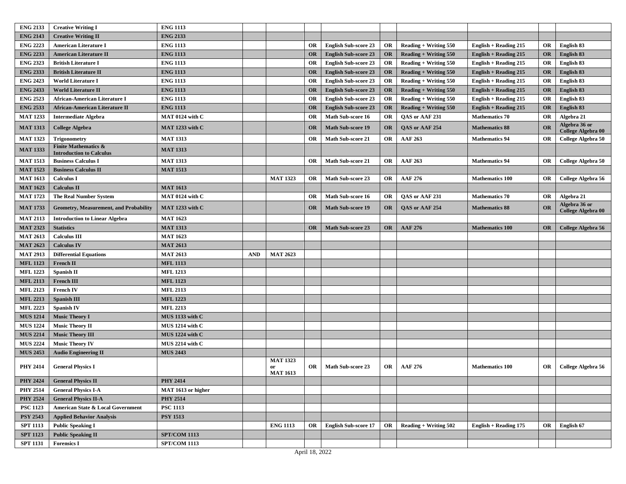| <b>ENG 2133</b><br><b>ENG 2143</b><br><b>Creative Writing II</b><br><b>ENG 2223</b><br><b>American Literature I</b><br><b>ENG 1113</b><br><b>English Sub-score 23</b><br><b>Reading + Writing 550</b><br>English 83<br>OR<br>OR<br>English + Reading 215<br>OR<br><b>ENG 2233</b><br><b>ENG 1113</b><br><b>American Literature II</b><br><b>English Sub-score 23</b><br>English 83<br><b>OR</b><br>OR<br>Reading $+$ Writing 550<br><b>English + Reading 215</b><br>OR<br><b>ENG 2323</b><br><b>ENG 1113</b><br>English 83<br><b>British Literature I</b><br>OR<br><b>English Sub-score 23</b><br>OR<br><b>Reading + Writing 550</b><br>English + Reading 215<br>OR<br><b>ENG 2333</b><br><b>British Literature II</b><br><b>ENG 1113</b><br><b>English Sub-score 23</b><br>English 83<br><b>OR</b><br>OR<br>$\textbf{Reading} + \textbf{Writing } 550$<br>English + Reading $215$<br><b>OR</b><br><b>ENG 2423</b><br><b>ENG 1113</b><br><b>OR</b><br>English 83<br><b>World Literature I</b><br>OR<br><b>English Sub-score 23</b><br><b>Reading + Writing 550</b><br>OR<br>English + Reading 215<br><b>ENG 2433</b><br>English 83<br><b>World Literature II</b><br><b>ENG 1113</b><br><b>OR</b><br><b>English Sub-score 23</b><br>OR<br><b>Reading + Writing 550</b><br>OR<br>English + Reading 215<br><b>ENG 2523</b><br><b>ENG 1113</b><br><b>English Sub-score 23</b><br>English 83<br><b>African-American Literature I</b><br>OR<br><b>OR</b><br><b>Reading + Writing 550</b><br><b>English + Reading 215</b><br>OR<br><b>ENG 2533</b><br><b>African-American Literature II</b><br><b>ENG 1113</b><br><b>English Sub-score 23</b><br><b>Reading + Writing 550</b><br><b>English + Reading 215</b><br>English 83<br><b>OR</b><br><b>OR</b><br><b>OR</b><br><b>MAT 1233</b><br>MAT 0124 with C<br>Math Sub-score 16<br><b>OR</b><br>OAS or AAF 231<br><b>Mathematics 70</b><br>OR<br>Algebra 21<br><b>Intermediate Algebra</b><br>OR<br>Algebra 36 or<br><b>MAT 1313</b><br>MAT 1233 with C<br><b>Math Sub-score 19</b><br>QAS or AAF 254<br><b>Mathematics 88</b><br>OR<br><b>College Algebra</b><br><b>OR</b><br><b>OR</b><br>College Algebra 00<br><b>MAT 1323</b><br><b>MAT 1313</b><br>OR<br><b>Math Sub-score 21</b><br>OR<br><b>AAF 263</b><br><b>Mathematics 94</b><br>OR<br>College Algebra 50<br><b>Trigonometry</b><br><b>Finite Mathematics &amp;</b><br><b>MAT 1333</b><br><b>MAT 1313</b><br><b>Introduction to Calculus</b><br><b>MAT 1313</b><br><b>MAT 1513</b><br><b>Business Calculus I</b><br><b>Math Sub-score 21</b><br>OR<br><b>AAF 263</b><br><b>Mathematics 94</b><br><b>OR</b><br>College Algebra 50<br>OR<br><b>MAT 1523</b><br><b>Business Calculus II</b><br><b>MAT 1513</b><br><b>MAT 1613</b><br><b>Calculus I</b><br><b>MAT 1323</b><br>Math Sub-score 23<br>OR<br><b>AAF 276</b><br><b>Mathematics 100</b><br><b>OR</b><br>College Algebra 56<br>OR<br><b>MAT 1623</b><br><b>MAT 1613</b><br><b>Calculus II</b><br>Algebra 21<br><b>MAT 1723</b><br><b>The Real Number System</b><br>MAT 0124 with C<br>Math Sub-score 16<br><b>OR</b><br>QAS or AAF 231<br><b>Mathematics 70</b><br>OR<br>OR<br>Algebra 36 or<br><b>MAT 1733</b><br>MAT 1233 with C<br><b>Math Sub-score 19</b><br>QAS or AAF 254<br>OR<br><b>Geometry, Measurement, and Probability</b><br>OR<br><b>OR</b><br><b>Mathematics 88</b><br><b>College Algebra 00</b><br><b>MAT 2113</b><br><b>MAT 1623</b><br><b>Introduction to Linear Algebra</b><br><b>MAT 2323</b><br><b>Statistics</b><br><b>MAT 1313</b><br><b>Math Sub-score 23</b><br><b>OR</b><br><b>AAF 276</b><br><b>Mathematics 100</b><br>OR<br>College Algebra 56<br><b>OR</b><br><b>MAT 2613</b><br><b>MAT 1623</b><br><b>Calculus III</b><br><b>MAT 2623</b><br><b>Calculus IV</b><br><b>MAT 2613</b><br><b>MAT 2913</b><br><b>MAT 2613</b><br><b>Differential Equations</b><br><b>AND</b><br><b>MAT 2623</b><br><b>MFL 1123</b><br><b>MFL 1113</b><br><b>French II</b><br><b>MFL 1223</b><br><b>MFL 1213</b><br>Spanish II<br><b>MFL 2113</b><br><b>French III</b><br><b>MFL 1123</b><br><b>MFL 2113</b><br><b>MFL 2123</b><br><b>French IV</b><br><b>MFL 2213</b><br><b>MFL 1223</b><br><b>Spanish III</b><br><b>MFL 2223</b><br><b>MFL 2213</b><br><b>Spanish IV</b><br><b>MUS 1214</b><br>MUS 1133 with C<br><b>Music Theory I</b><br><b>MUS 1224</b><br><b>Music Theory II</b><br>MUS 1214 with C<br><b>MUS 2214</b><br><b>Music Theory III</b><br>$MUS$ 1224 with $C$<br><b>MUS 2224</b><br><b>Music Theory IV</b><br>MUS 2214 with C<br><b>MUS 2453</b><br><b>MUS 2443</b><br><b>Audio Engineering II</b><br><b>MAT 1323</b><br><b>PHY 2414</b><br>OR<br><b>General Physics I</b><br>OR<br><b>Math Sub-score 23</b><br>OR<br><b>AAF 276</b><br><b>Mathematics 100</b><br>College Algebra 56<br>or<br><b>MAT 1613</b><br><b>PHY 2424</b><br><b>PHY 2414</b><br><b>General Physics II</b><br><b>PHY 2514</b><br><b>General Physics I-A</b><br>MAT 1613 or higher<br><b>PHY 2514</b><br><b>PHY 2524</b><br><b>General Physics II-A</b><br><b>PSC 1123</b><br>American State & Local Government<br><b>PSC 1113</b><br><b>PSY 2543</b><br><b>PSY 1513</b><br><b>Applied Behavior Analysis</b><br><b>SPT 1113</b><br><b>Public Speaking I</b><br><b>ENG 1113</b><br><b>OR</b><br><b>English Sub-score 17</b><br>OR<br>$\textbf{Reading} + \textbf{Writing } 502$<br><b>English + Reading 175</b><br><b>OR</b><br>English 67<br><b>SPT/COM 1113</b><br><b>SPT 1123</b><br><b>Public Speaking II</b><br><b>SPT 1131</b><br><b>Forensics I</b><br><b>SPT/COM 1113</b> | <b>ENG 2133</b> | <b>Creative Writing I</b> | <b>ENG 1113</b> |  |  |  |  |  |
|---------------------------------------------------------------------------------------------------------------------------------------------------------------------------------------------------------------------------------------------------------------------------------------------------------------------------------------------------------------------------------------------------------------------------------------------------------------------------------------------------------------------------------------------------------------------------------------------------------------------------------------------------------------------------------------------------------------------------------------------------------------------------------------------------------------------------------------------------------------------------------------------------------------------------------------------------------------------------------------------------------------------------------------------------------------------------------------------------------------------------------------------------------------------------------------------------------------------------------------------------------------------------------------------------------------------------------------------------------------------------------------------------------------------------------------------------------------------------------------------------------------------------------------------------------------------------------------------------------------------------------------------------------------------------------------------------------------------------------------------------------------------------------------------------------------------------------------------------------------------------------------------------------------------------------------------------------------------------------------------------------------------------------------------------------------------------------------------------------------------------------------------------------------------------------------------------------------------------------------------------------------------------------------------------------------------------------------------------------------------------------------------------------------------------------------------------------------------------------------------------------------------------------------------------------------------------------------------------------------------------------------------------------------------------------------------------------------------------------------------------------------------------------------------------------------------------------------------------------------------------------------------------------------------------------------------------------------------------------------------------------------------------------------------------------------------------------------------------------------------------------------------------------------------------------------------------------------------------------------------------------------------------------------------------------------------------------------------------------------------------------------------------------------------------------------------------------------------------------------------------------------------------------------------------------------------------------------------------------------------------------------------------------------------------------------------------------------------------------------------------------------------------------------------------------------------------------------------------------------------------------------------------------------------------------------------------------------------------------------------------------------------------------------------------------------------------------------------------------------------------------------------------------------------------------------------------------------------------------------------------------------------------------------------------------------------------------------------------------------------------------------------------------------------------------------------------------------------------------------------------------------------------------------------------------------------------------------------------------------------------------------------------------------------------------------------------------------------------------------------------------------------------------------------------------------------------------------------------------------------------------------------------------------------------------------------------------------------------------------------------------------------------------------------------------------------------------------------------------------------------------------------------------------------------------------------------------------------------------------------------------------------------------------------------------------------------------------------------------------------------------------------------------------------------------------------------------------------------------------------------------------------------------------|-----------------|---------------------------|-----------------|--|--|--|--|--|
|                                                                                                                                                                                                                                                                                                                                                                                                                                                                                                                                                                                                                                                                                                                                                                                                                                                                                                                                                                                                                                                                                                                                                                                                                                                                                                                                                                                                                                                                                                                                                                                                                                                                                                                                                                                                                                                                                                                                                                                                                                                                                                                                                                                                                                                                                                                                                                                                                                                                                                                                                                                                                                                                                                                                                                                                                                                                                                                                                                                                                                                                                                                                                                                                                                                                                                                                                                                                                                                                                                                                                                                                                                                                                                                                                                                                                                                                                                                                                                                                                                                                                                                                                                                                                                                                                                                                                                                                                                                                                                                                                                                                                                                                                                                                                                                                                                                                                                                                                                                                                                                                                                                                                                                                                                                                                                                                                                                                                                                                                                                                       |                 |                           |                 |  |  |  |  |  |
|                                                                                                                                                                                                                                                                                                                                                                                                                                                                                                                                                                                                                                                                                                                                                                                                                                                                                                                                                                                                                                                                                                                                                                                                                                                                                                                                                                                                                                                                                                                                                                                                                                                                                                                                                                                                                                                                                                                                                                                                                                                                                                                                                                                                                                                                                                                                                                                                                                                                                                                                                                                                                                                                                                                                                                                                                                                                                                                                                                                                                                                                                                                                                                                                                                                                                                                                                                                                                                                                                                                                                                                                                                                                                                                                                                                                                                                                                                                                                                                                                                                                                                                                                                                                                                                                                                                                                                                                                                                                                                                                                                                                                                                                                                                                                                                                                                                                                                                                                                                                                                                                                                                                                                                                                                                                                                                                                                                                                                                                                                                                       |                 |                           |                 |  |  |  |  |  |
|                                                                                                                                                                                                                                                                                                                                                                                                                                                                                                                                                                                                                                                                                                                                                                                                                                                                                                                                                                                                                                                                                                                                                                                                                                                                                                                                                                                                                                                                                                                                                                                                                                                                                                                                                                                                                                                                                                                                                                                                                                                                                                                                                                                                                                                                                                                                                                                                                                                                                                                                                                                                                                                                                                                                                                                                                                                                                                                                                                                                                                                                                                                                                                                                                                                                                                                                                                                                                                                                                                                                                                                                                                                                                                                                                                                                                                                                                                                                                                                                                                                                                                                                                                                                                                                                                                                                                                                                                                                                                                                                                                                                                                                                                                                                                                                                                                                                                                                                                                                                                                                                                                                                                                                                                                                                                                                                                                                                                                                                                                                                       |                 |                           |                 |  |  |  |  |  |
|                                                                                                                                                                                                                                                                                                                                                                                                                                                                                                                                                                                                                                                                                                                                                                                                                                                                                                                                                                                                                                                                                                                                                                                                                                                                                                                                                                                                                                                                                                                                                                                                                                                                                                                                                                                                                                                                                                                                                                                                                                                                                                                                                                                                                                                                                                                                                                                                                                                                                                                                                                                                                                                                                                                                                                                                                                                                                                                                                                                                                                                                                                                                                                                                                                                                                                                                                                                                                                                                                                                                                                                                                                                                                                                                                                                                                                                                                                                                                                                                                                                                                                                                                                                                                                                                                                                                                                                                                                                                                                                                                                                                                                                                                                                                                                                                                                                                                                                                                                                                                                                                                                                                                                                                                                                                                                                                                                                                                                                                                                                                       |                 |                           |                 |  |  |  |  |  |
|                                                                                                                                                                                                                                                                                                                                                                                                                                                                                                                                                                                                                                                                                                                                                                                                                                                                                                                                                                                                                                                                                                                                                                                                                                                                                                                                                                                                                                                                                                                                                                                                                                                                                                                                                                                                                                                                                                                                                                                                                                                                                                                                                                                                                                                                                                                                                                                                                                                                                                                                                                                                                                                                                                                                                                                                                                                                                                                                                                                                                                                                                                                                                                                                                                                                                                                                                                                                                                                                                                                                                                                                                                                                                                                                                                                                                                                                                                                                                                                                                                                                                                                                                                                                                                                                                                                                                                                                                                                                                                                                                                                                                                                                                                                                                                                                                                                                                                                                                                                                                                                                                                                                                                                                                                                                                                                                                                                                                                                                                                                                       |                 |                           |                 |  |  |  |  |  |
|                                                                                                                                                                                                                                                                                                                                                                                                                                                                                                                                                                                                                                                                                                                                                                                                                                                                                                                                                                                                                                                                                                                                                                                                                                                                                                                                                                                                                                                                                                                                                                                                                                                                                                                                                                                                                                                                                                                                                                                                                                                                                                                                                                                                                                                                                                                                                                                                                                                                                                                                                                                                                                                                                                                                                                                                                                                                                                                                                                                                                                                                                                                                                                                                                                                                                                                                                                                                                                                                                                                                                                                                                                                                                                                                                                                                                                                                                                                                                                                                                                                                                                                                                                                                                                                                                                                                                                                                                                                                                                                                                                                                                                                                                                                                                                                                                                                                                                                                                                                                                                                                                                                                                                                                                                                                                                                                                                                                                                                                                                                                       |                 |                           |                 |  |  |  |  |  |
|                                                                                                                                                                                                                                                                                                                                                                                                                                                                                                                                                                                                                                                                                                                                                                                                                                                                                                                                                                                                                                                                                                                                                                                                                                                                                                                                                                                                                                                                                                                                                                                                                                                                                                                                                                                                                                                                                                                                                                                                                                                                                                                                                                                                                                                                                                                                                                                                                                                                                                                                                                                                                                                                                                                                                                                                                                                                                                                                                                                                                                                                                                                                                                                                                                                                                                                                                                                                                                                                                                                                                                                                                                                                                                                                                                                                                                                                                                                                                                                                                                                                                                                                                                                                                                                                                                                                                                                                                                                                                                                                                                                                                                                                                                                                                                                                                                                                                                                                                                                                                                                                                                                                                                                                                                                                                                                                                                                                                                                                                                                                       |                 |                           |                 |  |  |  |  |  |
|                                                                                                                                                                                                                                                                                                                                                                                                                                                                                                                                                                                                                                                                                                                                                                                                                                                                                                                                                                                                                                                                                                                                                                                                                                                                                                                                                                                                                                                                                                                                                                                                                                                                                                                                                                                                                                                                                                                                                                                                                                                                                                                                                                                                                                                                                                                                                                                                                                                                                                                                                                                                                                                                                                                                                                                                                                                                                                                                                                                                                                                                                                                                                                                                                                                                                                                                                                                                                                                                                                                                                                                                                                                                                                                                                                                                                                                                                                                                                                                                                                                                                                                                                                                                                                                                                                                                                                                                                                                                                                                                                                                                                                                                                                                                                                                                                                                                                                                                                                                                                                                                                                                                                                                                                                                                                                                                                                                                                                                                                                                                       |                 |                           |                 |  |  |  |  |  |
|                                                                                                                                                                                                                                                                                                                                                                                                                                                                                                                                                                                                                                                                                                                                                                                                                                                                                                                                                                                                                                                                                                                                                                                                                                                                                                                                                                                                                                                                                                                                                                                                                                                                                                                                                                                                                                                                                                                                                                                                                                                                                                                                                                                                                                                                                                                                                                                                                                                                                                                                                                                                                                                                                                                                                                                                                                                                                                                                                                                                                                                                                                                                                                                                                                                                                                                                                                                                                                                                                                                                                                                                                                                                                                                                                                                                                                                                                                                                                                                                                                                                                                                                                                                                                                                                                                                                                                                                                                                                                                                                                                                                                                                                                                                                                                                                                                                                                                                                                                                                                                                                                                                                                                                                                                                                                                                                                                                                                                                                                                                                       |                 |                           |                 |  |  |  |  |  |
|                                                                                                                                                                                                                                                                                                                                                                                                                                                                                                                                                                                                                                                                                                                                                                                                                                                                                                                                                                                                                                                                                                                                                                                                                                                                                                                                                                                                                                                                                                                                                                                                                                                                                                                                                                                                                                                                                                                                                                                                                                                                                                                                                                                                                                                                                                                                                                                                                                                                                                                                                                                                                                                                                                                                                                                                                                                                                                                                                                                                                                                                                                                                                                                                                                                                                                                                                                                                                                                                                                                                                                                                                                                                                                                                                                                                                                                                                                                                                                                                                                                                                                                                                                                                                                                                                                                                                                                                                                                                                                                                                                                                                                                                                                                                                                                                                                                                                                                                                                                                                                                                                                                                                                                                                                                                                                                                                                                                                                                                                                                                       |                 |                           |                 |  |  |  |  |  |
|                                                                                                                                                                                                                                                                                                                                                                                                                                                                                                                                                                                                                                                                                                                                                                                                                                                                                                                                                                                                                                                                                                                                                                                                                                                                                                                                                                                                                                                                                                                                                                                                                                                                                                                                                                                                                                                                                                                                                                                                                                                                                                                                                                                                                                                                                                                                                                                                                                                                                                                                                                                                                                                                                                                                                                                                                                                                                                                                                                                                                                                                                                                                                                                                                                                                                                                                                                                                                                                                                                                                                                                                                                                                                                                                                                                                                                                                                                                                                                                                                                                                                                                                                                                                                                                                                                                                                                                                                                                                                                                                                                                                                                                                                                                                                                                                                                                                                                                                                                                                                                                                                                                                                                                                                                                                                                                                                                                                                                                                                                                                       |                 |                           |                 |  |  |  |  |  |
|                                                                                                                                                                                                                                                                                                                                                                                                                                                                                                                                                                                                                                                                                                                                                                                                                                                                                                                                                                                                                                                                                                                                                                                                                                                                                                                                                                                                                                                                                                                                                                                                                                                                                                                                                                                                                                                                                                                                                                                                                                                                                                                                                                                                                                                                                                                                                                                                                                                                                                                                                                                                                                                                                                                                                                                                                                                                                                                                                                                                                                                                                                                                                                                                                                                                                                                                                                                                                                                                                                                                                                                                                                                                                                                                                                                                                                                                                                                                                                                                                                                                                                                                                                                                                                                                                                                                                                                                                                                                                                                                                                                                                                                                                                                                                                                                                                                                                                                                                                                                                                                                                                                                                                                                                                                                                                                                                                                                                                                                                                                                       |                 |                           |                 |  |  |  |  |  |
|                                                                                                                                                                                                                                                                                                                                                                                                                                                                                                                                                                                                                                                                                                                                                                                                                                                                                                                                                                                                                                                                                                                                                                                                                                                                                                                                                                                                                                                                                                                                                                                                                                                                                                                                                                                                                                                                                                                                                                                                                                                                                                                                                                                                                                                                                                                                                                                                                                                                                                                                                                                                                                                                                                                                                                                                                                                                                                                                                                                                                                                                                                                                                                                                                                                                                                                                                                                                                                                                                                                                                                                                                                                                                                                                                                                                                                                                                                                                                                                                                                                                                                                                                                                                                                                                                                                                                                                                                                                                                                                                                                                                                                                                                                                                                                                                                                                                                                                                                                                                                                                                                                                                                                                                                                                                                                                                                                                                                                                                                                                                       |                 |                           |                 |  |  |  |  |  |
|                                                                                                                                                                                                                                                                                                                                                                                                                                                                                                                                                                                                                                                                                                                                                                                                                                                                                                                                                                                                                                                                                                                                                                                                                                                                                                                                                                                                                                                                                                                                                                                                                                                                                                                                                                                                                                                                                                                                                                                                                                                                                                                                                                                                                                                                                                                                                                                                                                                                                                                                                                                                                                                                                                                                                                                                                                                                                                                                                                                                                                                                                                                                                                                                                                                                                                                                                                                                                                                                                                                                                                                                                                                                                                                                                                                                                                                                                                                                                                                                                                                                                                                                                                                                                                                                                                                                                                                                                                                                                                                                                                                                                                                                                                                                                                                                                                                                                                                                                                                                                                                                                                                                                                                                                                                                                                                                                                                                                                                                                                                                       |                 |                           |                 |  |  |  |  |  |
|                                                                                                                                                                                                                                                                                                                                                                                                                                                                                                                                                                                                                                                                                                                                                                                                                                                                                                                                                                                                                                                                                                                                                                                                                                                                                                                                                                                                                                                                                                                                                                                                                                                                                                                                                                                                                                                                                                                                                                                                                                                                                                                                                                                                                                                                                                                                                                                                                                                                                                                                                                                                                                                                                                                                                                                                                                                                                                                                                                                                                                                                                                                                                                                                                                                                                                                                                                                                                                                                                                                                                                                                                                                                                                                                                                                                                                                                                                                                                                                                                                                                                                                                                                                                                                                                                                                                                                                                                                                                                                                                                                                                                                                                                                                                                                                                                                                                                                                                                                                                                                                                                                                                                                                                                                                                                                                                                                                                                                                                                                                                       |                 |                           |                 |  |  |  |  |  |
|                                                                                                                                                                                                                                                                                                                                                                                                                                                                                                                                                                                                                                                                                                                                                                                                                                                                                                                                                                                                                                                                                                                                                                                                                                                                                                                                                                                                                                                                                                                                                                                                                                                                                                                                                                                                                                                                                                                                                                                                                                                                                                                                                                                                                                                                                                                                                                                                                                                                                                                                                                                                                                                                                                                                                                                                                                                                                                                                                                                                                                                                                                                                                                                                                                                                                                                                                                                                                                                                                                                                                                                                                                                                                                                                                                                                                                                                                                                                                                                                                                                                                                                                                                                                                                                                                                                                                                                                                                                                                                                                                                                                                                                                                                                                                                                                                                                                                                                                                                                                                                                                                                                                                                                                                                                                                                                                                                                                                                                                                                                                       |                 |                           |                 |  |  |  |  |  |
|                                                                                                                                                                                                                                                                                                                                                                                                                                                                                                                                                                                                                                                                                                                                                                                                                                                                                                                                                                                                                                                                                                                                                                                                                                                                                                                                                                                                                                                                                                                                                                                                                                                                                                                                                                                                                                                                                                                                                                                                                                                                                                                                                                                                                                                                                                                                                                                                                                                                                                                                                                                                                                                                                                                                                                                                                                                                                                                                                                                                                                                                                                                                                                                                                                                                                                                                                                                                                                                                                                                                                                                                                                                                                                                                                                                                                                                                                                                                                                                                                                                                                                                                                                                                                                                                                                                                                                                                                                                                                                                                                                                                                                                                                                                                                                                                                                                                                                                                                                                                                                                                                                                                                                                                                                                                                                                                                                                                                                                                                                                                       |                 |                           |                 |  |  |  |  |  |
|                                                                                                                                                                                                                                                                                                                                                                                                                                                                                                                                                                                                                                                                                                                                                                                                                                                                                                                                                                                                                                                                                                                                                                                                                                                                                                                                                                                                                                                                                                                                                                                                                                                                                                                                                                                                                                                                                                                                                                                                                                                                                                                                                                                                                                                                                                                                                                                                                                                                                                                                                                                                                                                                                                                                                                                                                                                                                                                                                                                                                                                                                                                                                                                                                                                                                                                                                                                                                                                                                                                                                                                                                                                                                                                                                                                                                                                                                                                                                                                                                                                                                                                                                                                                                                                                                                                                                                                                                                                                                                                                                                                                                                                                                                                                                                                                                                                                                                                                                                                                                                                                                                                                                                                                                                                                                                                                                                                                                                                                                                                                       |                 |                           |                 |  |  |  |  |  |
|                                                                                                                                                                                                                                                                                                                                                                                                                                                                                                                                                                                                                                                                                                                                                                                                                                                                                                                                                                                                                                                                                                                                                                                                                                                                                                                                                                                                                                                                                                                                                                                                                                                                                                                                                                                                                                                                                                                                                                                                                                                                                                                                                                                                                                                                                                                                                                                                                                                                                                                                                                                                                                                                                                                                                                                                                                                                                                                                                                                                                                                                                                                                                                                                                                                                                                                                                                                                                                                                                                                                                                                                                                                                                                                                                                                                                                                                                                                                                                                                                                                                                                                                                                                                                                                                                                                                                                                                                                                                                                                                                                                                                                                                                                                                                                                                                                                                                                                                                                                                                                                                                                                                                                                                                                                                                                                                                                                                                                                                                                                                       |                 |                           |                 |  |  |  |  |  |
|                                                                                                                                                                                                                                                                                                                                                                                                                                                                                                                                                                                                                                                                                                                                                                                                                                                                                                                                                                                                                                                                                                                                                                                                                                                                                                                                                                                                                                                                                                                                                                                                                                                                                                                                                                                                                                                                                                                                                                                                                                                                                                                                                                                                                                                                                                                                                                                                                                                                                                                                                                                                                                                                                                                                                                                                                                                                                                                                                                                                                                                                                                                                                                                                                                                                                                                                                                                                                                                                                                                                                                                                                                                                                                                                                                                                                                                                                                                                                                                                                                                                                                                                                                                                                                                                                                                                                                                                                                                                                                                                                                                                                                                                                                                                                                                                                                                                                                                                                                                                                                                                                                                                                                                                                                                                                                                                                                                                                                                                                                                                       |                 |                           |                 |  |  |  |  |  |
|                                                                                                                                                                                                                                                                                                                                                                                                                                                                                                                                                                                                                                                                                                                                                                                                                                                                                                                                                                                                                                                                                                                                                                                                                                                                                                                                                                                                                                                                                                                                                                                                                                                                                                                                                                                                                                                                                                                                                                                                                                                                                                                                                                                                                                                                                                                                                                                                                                                                                                                                                                                                                                                                                                                                                                                                                                                                                                                                                                                                                                                                                                                                                                                                                                                                                                                                                                                                                                                                                                                                                                                                                                                                                                                                                                                                                                                                                                                                                                                                                                                                                                                                                                                                                                                                                                                                                                                                                                                                                                                                                                                                                                                                                                                                                                                                                                                                                                                                                                                                                                                                                                                                                                                                                                                                                                                                                                                                                                                                                                                                       |                 |                           |                 |  |  |  |  |  |
|                                                                                                                                                                                                                                                                                                                                                                                                                                                                                                                                                                                                                                                                                                                                                                                                                                                                                                                                                                                                                                                                                                                                                                                                                                                                                                                                                                                                                                                                                                                                                                                                                                                                                                                                                                                                                                                                                                                                                                                                                                                                                                                                                                                                                                                                                                                                                                                                                                                                                                                                                                                                                                                                                                                                                                                                                                                                                                                                                                                                                                                                                                                                                                                                                                                                                                                                                                                                                                                                                                                                                                                                                                                                                                                                                                                                                                                                                                                                                                                                                                                                                                                                                                                                                                                                                                                                                                                                                                                                                                                                                                                                                                                                                                                                                                                                                                                                                                                                                                                                                                                                                                                                                                                                                                                                                                                                                                                                                                                                                                                                       |                 |                           |                 |  |  |  |  |  |
|                                                                                                                                                                                                                                                                                                                                                                                                                                                                                                                                                                                                                                                                                                                                                                                                                                                                                                                                                                                                                                                                                                                                                                                                                                                                                                                                                                                                                                                                                                                                                                                                                                                                                                                                                                                                                                                                                                                                                                                                                                                                                                                                                                                                                                                                                                                                                                                                                                                                                                                                                                                                                                                                                                                                                                                                                                                                                                                                                                                                                                                                                                                                                                                                                                                                                                                                                                                                                                                                                                                                                                                                                                                                                                                                                                                                                                                                                                                                                                                                                                                                                                                                                                                                                                                                                                                                                                                                                                                                                                                                                                                                                                                                                                                                                                                                                                                                                                                                                                                                                                                                                                                                                                                                                                                                                                                                                                                                                                                                                                                                       |                 |                           |                 |  |  |  |  |  |
|                                                                                                                                                                                                                                                                                                                                                                                                                                                                                                                                                                                                                                                                                                                                                                                                                                                                                                                                                                                                                                                                                                                                                                                                                                                                                                                                                                                                                                                                                                                                                                                                                                                                                                                                                                                                                                                                                                                                                                                                                                                                                                                                                                                                                                                                                                                                                                                                                                                                                                                                                                                                                                                                                                                                                                                                                                                                                                                                                                                                                                                                                                                                                                                                                                                                                                                                                                                                                                                                                                                                                                                                                                                                                                                                                                                                                                                                                                                                                                                                                                                                                                                                                                                                                                                                                                                                                                                                                                                                                                                                                                                                                                                                                                                                                                                                                                                                                                                                                                                                                                                                                                                                                                                                                                                                                                                                                                                                                                                                                                                                       |                 |                           |                 |  |  |  |  |  |
|                                                                                                                                                                                                                                                                                                                                                                                                                                                                                                                                                                                                                                                                                                                                                                                                                                                                                                                                                                                                                                                                                                                                                                                                                                                                                                                                                                                                                                                                                                                                                                                                                                                                                                                                                                                                                                                                                                                                                                                                                                                                                                                                                                                                                                                                                                                                                                                                                                                                                                                                                                                                                                                                                                                                                                                                                                                                                                                                                                                                                                                                                                                                                                                                                                                                                                                                                                                                                                                                                                                                                                                                                                                                                                                                                                                                                                                                                                                                                                                                                                                                                                                                                                                                                                                                                                                                                                                                                                                                                                                                                                                                                                                                                                                                                                                                                                                                                                                                                                                                                                                                                                                                                                                                                                                                                                                                                                                                                                                                                                                                       |                 |                           |                 |  |  |  |  |  |
|                                                                                                                                                                                                                                                                                                                                                                                                                                                                                                                                                                                                                                                                                                                                                                                                                                                                                                                                                                                                                                                                                                                                                                                                                                                                                                                                                                                                                                                                                                                                                                                                                                                                                                                                                                                                                                                                                                                                                                                                                                                                                                                                                                                                                                                                                                                                                                                                                                                                                                                                                                                                                                                                                                                                                                                                                                                                                                                                                                                                                                                                                                                                                                                                                                                                                                                                                                                                                                                                                                                                                                                                                                                                                                                                                                                                                                                                                                                                                                                                                                                                                                                                                                                                                                                                                                                                                                                                                                                                                                                                                                                                                                                                                                                                                                                                                                                                                                                                                                                                                                                                                                                                                                                                                                                                                                                                                                                                                                                                                                                                       |                 |                           |                 |  |  |  |  |  |
|                                                                                                                                                                                                                                                                                                                                                                                                                                                                                                                                                                                                                                                                                                                                                                                                                                                                                                                                                                                                                                                                                                                                                                                                                                                                                                                                                                                                                                                                                                                                                                                                                                                                                                                                                                                                                                                                                                                                                                                                                                                                                                                                                                                                                                                                                                                                                                                                                                                                                                                                                                                                                                                                                                                                                                                                                                                                                                                                                                                                                                                                                                                                                                                                                                                                                                                                                                                                                                                                                                                                                                                                                                                                                                                                                                                                                                                                                                                                                                                                                                                                                                                                                                                                                                                                                                                                                                                                                                                                                                                                                                                                                                                                                                                                                                                                                                                                                                                                                                                                                                                                                                                                                                                                                                                                                                                                                                                                                                                                                                                                       |                 |                           |                 |  |  |  |  |  |
|                                                                                                                                                                                                                                                                                                                                                                                                                                                                                                                                                                                                                                                                                                                                                                                                                                                                                                                                                                                                                                                                                                                                                                                                                                                                                                                                                                                                                                                                                                                                                                                                                                                                                                                                                                                                                                                                                                                                                                                                                                                                                                                                                                                                                                                                                                                                                                                                                                                                                                                                                                                                                                                                                                                                                                                                                                                                                                                                                                                                                                                                                                                                                                                                                                                                                                                                                                                                                                                                                                                                                                                                                                                                                                                                                                                                                                                                                                                                                                                                                                                                                                                                                                                                                                                                                                                                                                                                                                                                                                                                                                                                                                                                                                                                                                                                                                                                                                                                                                                                                                                                                                                                                                                                                                                                                                                                                                                                                                                                                                                                       |                 |                           |                 |  |  |  |  |  |
|                                                                                                                                                                                                                                                                                                                                                                                                                                                                                                                                                                                                                                                                                                                                                                                                                                                                                                                                                                                                                                                                                                                                                                                                                                                                                                                                                                                                                                                                                                                                                                                                                                                                                                                                                                                                                                                                                                                                                                                                                                                                                                                                                                                                                                                                                                                                                                                                                                                                                                                                                                                                                                                                                                                                                                                                                                                                                                                                                                                                                                                                                                                                                                                                                                                                                                                                                                                                                                                                                                                                                                                                                                                                                                                                                                                                                                                                                                                                                                                                                                                                                                                                                                                                                                                                                                                                                                                                                                                                                                                                                                                                                                                                                                                                                                                                                                                                                                                                                                                                                                                                                                                                                                                                                                                                                                                                                                                                                                                                                                                                       |                 |                           |                 |  |  |  |  |  |
|                                                                                                                                                                                                                                                                                                                                                                                                                                                                                                                                                                                                                                                                                                                                                                                                                                                                                                                                                                                                                                                                                                                                                                                                                                                                                                                                                                                                                                                                                                                                                                                                                                                                                                                                                                                                                                                                                                                                                                                                                                                                                                                                                                                                                                                                                                                                                                                                                                                                                                                                                                                                                                                                                                                                                                                                                                                                                                                                                                                                                                                                                                                                                                                                                                                                                                                                                                                                                                                                                                                                                                                                                                                                                                                                                                                                                                                                                                                                                                                                                                                                                                                                                                                                                                                                                                                                                                                                                                                                                                                                                                                                                                                                                                                                                                                                                                                                                                                                                                                                                                                                                                                                                                                                                                                                                                                                                                                                                                                                                                                                       |                 |                           |                 |  |  |  |  |  |
|                                                                                                                                                                                                                                                                                                                                                                                                                                                                                                                                                                                                                                                                                                                                                                                                                                                                                                                                                                                                                                                                                                                                                                                                                                                                                                                                                                                                                                                                                                                                                                                                                                                                                                                                                                                                                                                                                                                                                                                                                                                                                                                                                                                                                                                                                                                                                                                                                                                                                                                                                                                                                                                                                                                                                                                                                                                                                                                                                                                                                                                                                                                                                                                                                                                                                                                                                                                                                                                                                                                                                                                                                                                                                                                                                                                                                                                                                                                                                                                                                                                                                                                                                                                                                                                                                                                                                                                                                                                                                                                                                                                                                                                                                                                                                                                                                                                                                                                                                                                                                                                                                                                                                                                                                                                                                                                                                                                                                                                                                                                                       |                 |                           |                 |  |  |  |  |  |
|                                                                                                                                                                                                                                                                                                                                                                                                                                                                                                                                                                                                                                                                                                                                                                                                                                                                                                                                                                                                                                                                                                                                                                                                                                                                                                                                                                                                                                                                                                                                                                                                                                                                                                                                                                                                                                                                                                                                                                                                                                                                                                                                                                                                                                                                                                                                                                                                                                                                                                                                                                                                                                                                                                                                                                                                                                                                                                                                                                                                                                                                                                                                                                                                                                                                                                                                                                                                                                                                                                                                                                                                                                                                                                                                                                                                                                                                                                                                                                                                                                                                                                                                                                                                                                                                                                                                                                                                                                                                                                                                                                                                                                                                                                                                                                                                                                                                                                                                                                                                                                                                                                                                                                                                                                                                                                                                                                                                                                                                                                                                       |                 |                           |                 |  |  |  |  |  |
|                                                                                                                                                                                                                                                                                                                                                                                                                                                                                                                                                                                                                                                                                                                                                                                                                                                                                                                                                                                                                                                                                                                                                                                                                                                                                                                                                                                                                                                                                                                                                                                                                                                                                                                                                                                                                                                                                                                                                                                                                                                                                                                                                                                                                                                                                                                                                                                                                                                                                                                                                                                                                                                                                                                                                                                                                                                                                                                                                                                                                                                                                                                                                                                                                                                                                                                                                                                                                                                                                                                                                                                                                                                                                                                                                                                                                                                                                                                                                                                                                                                                                                                                                                                                                                                                                                                                                                                                                                                                                                                                                                                                                                                                                                                                                                                                                                                                                                                                                                                                                                                                                                                                                                                                                                                                                                                                                                                                                                                                                                                                       |                 |                           |                 |  |  |  |  |  |
|                                                                                                                                                                                                                                                                                                                                                                                                                                                                                                                                                                                                                                                                                                                                                                                                                                                                                                                                                                                                                                                                                                                                                                                                                                                                                                                                                                                                                                                                                                                                                                                                                                                                                                                                                                                                                                                                                                                                                                                                                                                                                                                                                                                                                                                                                                                                                                                                                                                                                                                                                                                                                                                                                                                                                                                                                                                                                                                                                                                                                                                                                                                                                                                                                                                                                                                                                                                                                                                                                                                                                                                                                                                                                                                                                                                                                                                                                                                                                                                                                                                                                                                                                                                                                                                                                                                                                                                                                                                                                                                                                                                                                                                                                                                                                                                                                                                                                                                                                                                                                                                                                                                                                                                                                                                                                                                                                                                                                                                                                                                                       |                 |                           |                 |  |  |  |  |  |
|                                                                                                                                                                                                                                                                                                                                                                                                                                                                                                                                                                                                                                                                                                                                                                                                                                                                                                                                                                                                                                                                                                                                                                                                                                                                                                                                                                                                                                                                                                                                                                                                                                                                                                                                                                                                                                                                                                                                                                                                                                                                                                                                                                                                                                                                                                                                                                                                                                                                                                                                                                                                                                                                                                                                                                                                                                                                                                                                                                                                                                                                                                                                                                                                                                                                                                                                                                                                                                                                                                                                                                                                                                                                                                                                                                                                                                                                                                                                                                                                                                                                                                                                                                                                                                                                                                                                                                                                                                                                                                                                                                                                                                                                                                                                                                                                                                                                                                                                                                                                                                                                                                                                                                                                                                                                                                                                                                                                                                                                                                                                       |                 |                           |                 |  |  |  |  |  |
|                                                                                                                                                                                                                                                                                                                                                                                                                                                                                                                                                                                                                                                                                                                                                                                                                                                                                                                                                                                                                                                                                                                                                                                                                                                                                                                                                                                                                                                                                                                                                                                                                                                                                                                                                                                                                                                                                                                                                                                                                                                                                                                                                                                                                                                                                                                                                                                                                                                                                                                                                                                                                                                                                                                                                                                                                                                                                                                                                                                                                                                                                                                                                                                                                                                                                                                                                                                                                                                                                                                                                                                                                                                                                                                                                                                                                                                                                                                                                                                                                                                                                                                                                                                                                                                                                                                                                                                                                                                                                                                                                                                                                                                                                                                                                                                                                                                                                                                                                                                                                                                                                                                                                                                                                                                                                                                                                                                                                                                                                                                                       |                 |                           |                 |  |  |  |  |  |
|                                                                                                                                                                                                                                                                                                                                                                                                                                                                                                                                                                                                                                                                                                                                                                                                                                                                                                                                                                                                                                                                                                                                                                                                                                                                                                                                                                                                                                                                                                                                                                                                                                                                                                                                                                                                                                                                                                                                                                                                                                                                                                                                                                                                                                                                                                                                                                                                                                                                                                                                                                                                                                                                                                                                                                                                                                                                                                                                                                                                                                                                                                                                                                                                                                                                                                                                                                                                                                                                                                                                                                                                                                                                                                                                                                                                                                                                                                                                                                                                                                                                                                                                                                                                                                                                                                                                                                                                                                                                                                                                                                                                                                                                                                                                                                                                                                                                                                                                                                                                                                                                                                                                                                                                                                                                                                                                                                                                                                                                                                                                       |                 |                           |                 |  |  |  |  |  |
|                                                                                                                                                                                                                                                                                                                                                                                                                                                                                                                                                                                                                                                                                                                                                                                                                                                                                                                                                                                                                                                                                                                                                                                                                                                                                                                                                                                                                                                                                                                                                                                                                                                                                                                                                                                                                                                                                                                                                                                                                                                                                                                                                                                                                                                                                                                                                                                                                                                                                                                                                                                                                                                                                                                                                                                                                                                                                                                                                                                                                                                                                                                                                                                                                                                                                                                                                                                                                                                                                                                                                                                                                                                                                                                                                                                                                                                                                                                                                                                                                                                                                                                                                                                                                                                                                                                                                                                                                                                                                                                                                                                                                                                                                                                                                                                                                                                                                                                                                                                                                                                                                                                                                                                                                                                                                                                                                                                                                                                                                                                                       |                 |                           |                 |  |  |  |  |  |
|                                                                                                                                                                                                                                                                                                                                                                                                                                                                                                                                                                                                                                                                                                                                                                                                                                                                                                                                                                                                                                                                                                                                                                                                                                                                                                                                                                                                                                                                                                                                                                                                                                                                                                                                                                                                                                                                                                                                                                                                                                                                                                                                                                                                                                                                                                                                                                                                                                                                                                                                                                                                                                                                                                                                                                                                                                                                                                                                                                                                                                                                                                                                                                                                                                                                                                                                                                                                                                                                                                                                                                                                                                                                                                                                                                                                                                                                                                                                                                                                                                                                                                                                                                                                                                                                                                                                                                                                                                                                                                                                                                                                                                                                                                                                                                                                                                                                                                                                                                                                                                                                                                                                                                                                                                                                                                                                                                                                                                                                                                                                       |                 |                           |                 |  |  |  |  |  |
|                                                                                                                                                                                                                                                                                                                                                                                                                                                                                                                                                                                                                                                                                                                                                                                                                                                                                                                                                                                                                                                                                                                                                                                                                                                                                                                                                                                                                                                                                                                                                                                                                                                                                                                                                                                                                                                                                                                                                                                                                                                                                                                                                                                                                                                                                                                                                                                                                                                                                                                                                                                                                                                                                                                                                                                                                                                                                                                                                                                                                                                                                                                                                                                                                                                                                                                                                                                                                                                                                                                                                                                                                                                                                                                                                                                                                                                                                                                                                                                                                                                                                                                                                                                                                                                                                                                                                                                                                                                                                                                                                                                                                                                                                                                                                                                                                                                                                                                                                                                                                                                                                                                                                                                                                                                                                                                                                                                                                                                                                                                                       |                 |                           |                 |  |  |  |  |  |
|                                                                                                                                                                                                                                                                                                                                                                                                                                                                                                                                                                                                                                                                                                                                                                                                                                                                                                                                                                                                                                                                                                                                                                                                                                                                                                                                                                                                                                                                                                                                                                                                                                                                                                                                                                                                                                                                                                                                                                                                                                                                                                                                                                                                                                                                                                                                                                                                                                                                                                                                                                                                                                                                                                                                                                                                                                                                                                                                                                                                                                                                                                                                                                                                                                                                                                                                                                                                                                                                                                                                                                                                                                                                                                                                                                                                                                                                                                                                                                                                                                                                                                                                                                                                                                                                                                                                                                                                                                                                                                                                                                                                                                                                                                                                                                                                                                                                                                                                                                                                                                                                                                                                                                                                                                                                                                                                                                                                                                                                                                                                       |                 |                           |                 |  |  |  |  |  |
|                                                                                                                                                                                                                                                                                                                                                                                                                                                                                                                                                                                                                                                                                                                                                                                                                                                                                                                                                                                                                                                                                                                                                                                                                                                                                                                                                                                                                                                                                                                                                                                                                                                                                                                                                                                                                                                                                                                                                                                                                                                                                                                                                                                                                                                                                                                                                                                                                                                                                                                                                                                                                                                                                                                                                                                                                                                                                                                                                                                                                                                                                                                                                                                                                                                                                                                                                                                                                                                                                                                                                                                                                                                                                                                                                                                                                                                                                                                                                                                                                                                                                                                                                                                                                                                                                                                                                                                                                                                                                                                                                                                                                                                                                                                                                                                                                                                                                                                                                                                                                                                                                                                                                                                                                                                                                                                                                                                                                                                                                                                                       |                 |                           |                 |  |  |  |  |  |
|                                                                                                                                                                                                                                                                                                                                                                                                                                                                                                                                                                                                                                                                                                                                                                                                                                                                                                                                                                                                                                                                                                                                                                                                                                                                                                                                                                                                                                                                                                                                                                                                                                                                                                                                                                                                                                                                                                                                                                                                                                                                                                                                                                                                                                                                                                                                                                                                                                                                                                                                                                                                                                                                                                                                                                                                                                                                                                                                                                                                                                                                                                                                                                                                                                                                                                                                                                                                                                                                                                                                                                                                                                                                                                                                                                                                                                                                                                                                                                                                                                                                                                                                                                                                                                                                                                                                                                                                                                                                                                                                                                                                                                                                                                                                                                                                                                                                                                                                                                                                                                                                                                                                                                                                                                                                                                                                                                                                                                                                                                                                       |                 |                           |                 |  |  |  |  |  |
|                                                                                                                                                                                                                                                                                                                                                                                                                                                                                                                                                                                                                                                                                                                                                                                                                                                                                                                                                                                                                                                                                                                                                                                                                                                                                                                                                                                                                                                                                                                                                                                                                                                                                                                                                                                                                                                                                                                                                                                                                                                                                                                                                                                                                                                                                                                                                                                                                                                                                                                                                                                                                                                                                                                                                                                                                                                                                                                                                                                                                                                                                                                                                                                                                                                                                                                                                                                                                                                                                                                                                                                                                                                                                                                                                                                                                                                                                                                                                                                                                                                                                                                                                                                                                                                                                                                                                                                                                                                                                                                                                                                                                                                                                                                                                                                                                                                                                                                                                                                                                                                                                                                                                                                                                                                                                                                                                                                                                                                                                                                                       |                 |                           |                 |  |  |  |  |  |